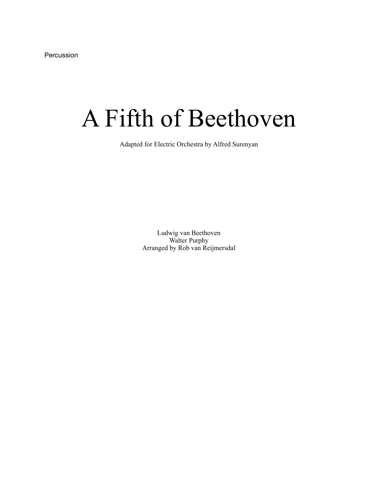Percussion

## A Fifth of Beethoven

Adapted for Electric Orchestra by Alfred Surenyan

Ludwig van Beethoven Walter Purphy Arranged by Rob van Reijmersdal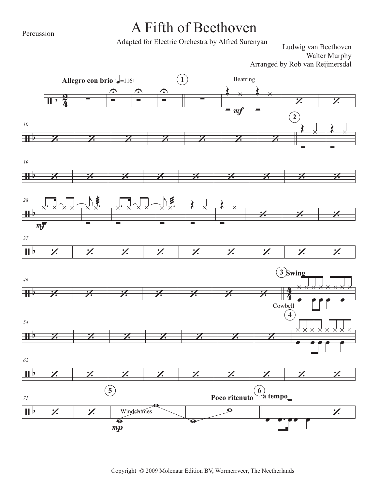Percussion

## A Fifth of Beethoven

Adapted for Electric Orchestra by Alfred Surenyan

Ludwig van Beethoven Walter Murphy Arranged by Rob van Reijmersdal